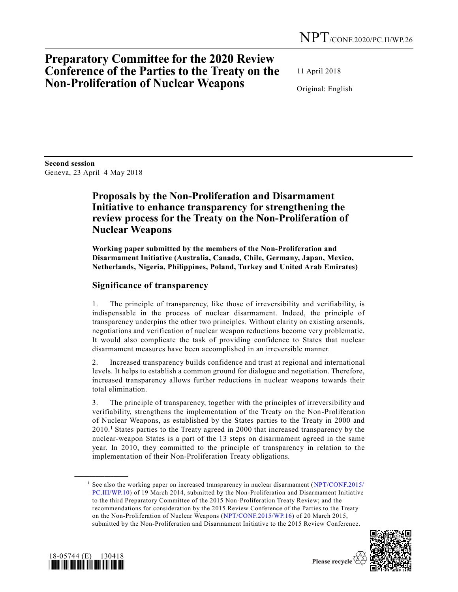# **Preparatory Committee for the 2020 Review Conference of the Parties to the Treaty on the Non-Proliferation of Nuclear Weapons**

11 April 2018

Original: English

**Second session**  Geneva, 23 April–4 May 2018

### **Proposals by the Non-Proliferation and Disarmament Initiative to enhance transparency for strengthening the review process for the Treaty on the Non-Proliferation of Nuclear Weapons**

**Working paper submitted by the members of the Non-Proliferation and Disarmament Initiative (Australia, Canada, Chile, Germany, Japan, Mexico, Netherlands, Nigeria, Philippines, Poland, Turkey and United Arab Emirates)**

#### **Significance of transparency**

1. The principle of transparency, like those of irreversibility and verifiability, is indispensable in the process of nuclear disarmament. Indeed, the principle of transparency underpins the other two principles. Without clarity on existing arsenals, negotiations and verification of nuclear weapon reductions become very problematic. It would also complicate the task of providing confidence to States that nuclear disarmament measures have been accomplished in an irreversible manner.

2. Increased transparency builds confidence and trust at regional and international levels. It helps to establish a common ground for dialogue and negotiation. Therefore, increased transparency allows further reductions in nuclear weapons towards their total elimination.

3. The principle of transparency, together with the principles of irreversibility and verifiability, strengthens the implementation of the Treaty on the Non -Proliferation of Nuclear Weapons, as established by the States parties to the Treaty in 2000 and 2010.<sup>1</sup> States parties to the Treaty agreed in 2000 that increased transparency by the nuclear-weapon States is a part of the 13 steps on disarmament agreed in the same year. In 2010, they committed to the principle of transparency in relation to the implementation of their Non-Proliferation Treaty obligations.

<sup>&</sup>lt;sup>1</sup> See also the working paper on increased transparency in nuclear disarmament [\(NPT/CONF.2015/](https://undocs.org/NPT/CONF.2015/PC.III/WP.10) [PC.III/WP.10\)](https://undocs.org/NPT/CONF.2015/PC.III/WP.10) of 19 March 2014, submitted by the Non-Proliferation and Disarmament Initiative to the third Preparatory Committee of the 2015 Non-Proliferation Treaty Review; and the recommendations for consideration by the 2015 Review Conference of the Parties to the Treaty on the Non-Proliferation of Nuclear Weapons [\(NPT/CONF.2015/WP.16\)](https://undocs.org/NPT/CONF.2015/WP.16) of 20 March 2015, submitted by the Non-Proliferation and Disarmament Initiative to the 2015 Review Conference.





**\_\_\_\_\_\_\_\_\_\_\_\_\_\_\_\_\_\_**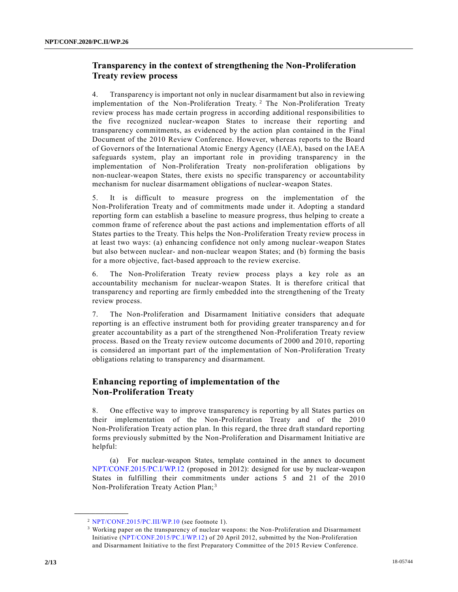### **Transparency in the context of strengthening the Non-Proliferation Treaty review process**

4. Transparency is important not only in nuclear disarmament but also in reviewing implementation of the Non-Proliferation Treaty.<sup>2</sup> The Non-Proliferation Treaty review process has made certain progress in according additional responsibilities to the five recognized nuclear-weapon States to increase their reporting and transparency commitments, as evidenced by the action plan contained in the Final Document of the 2010 Review Conference. However, whereas reports to the Board of Governors of the International Atomic Energy Agency (IAEA), based on the IAEA safeguards system, play an important role in providing transparency in the implementation of Non-Proliferation Treaty non-proliferation obligations by non-nuclear-weapon States, there exists no specific transparency or accountability mechanism for nuclear disarmament obligations of nuclear-weapon States.

5. It is difficult to measure progress on the implementation of the Non-Proliferation Treaty and of commitments made under it. Adopting a standard reporting form can establish a baseline to measure progress, thus helping to create a common frame of reference about the past actions and implementation efforts of all States parties to the Treaty. This helps the Non-Proliferation Treaty review process in at least two ways: (a) enhancing confidence not only among nuclear-weapon States but also between nuclear- and non-nuclear weapon States; and (b) forming the basis for a more objective, fact-based approach to the review exercise.

6. The Non-Proliferation Treaty review process plays a key role as an accountability mechanism for nuclear-weapon States. It is therefore critical that transparency and reporting are firmly embedded into the strengthening of the Treaty review process.

7. The Non-Proliferation and Disarmament Initiative considers that adequate reporting is an effective instrument both for providing greater transparency an d for greater accountability as a part of the strengthened Non-Proliferation Treaty review process. Based on the Treaty review outcome documents of 2000 and 2010, reporting is considered an important part of the implementation of Non-Proliferation Treaty obligations relating to transparency and disarmament.

#### **Enhancing reporting of implementation of the Non-Proliferation Treaty**

8. One effective way to improve transparency is reporting by all States parties on their implementation of the Non-Proliferation Treaty and of the 2010 Non-Proliferation Treaty action plan. In this regard, the three draft standard reporting forms previously submitted by the Non-Proliferation and Disarmament Initiative are helpful:

(a) For nuclear-weapon States, template contained in the annex to document [NPT/CONF.2015/PC.I/WP.12](https://undocs.org/NPT/CONF.2015/PC.I/WP.12) (proposed in 2012): designed for use by nuclear-weapon States in fulfilling their commitments under actions 5 and 21 of the 2010 Non-Proliferation Treaty Action Plan; <sup>3</sup>

**\_\_\_\_\_\_\_\_\_\_\_\_\_\_\_\_\_\_**

<sup>2</sup> [NPT/CONF.2015/PC.III/WP.10](https://undocs.org/NPT/CONF.2015/PC.III/WP.10) (see footnote 1).

<sup>3</sup> Working paper on the transparency of nuclear weapons: the Non-Proliferation and Disarmament Initiative [\(NPT/CONF.2015/PC.I/WP.12\)](https://undocs.org/NPT/CONF.2015/PC.I/WP.12) of 20 April 2012, submitted by the Non-Proliferation and Disarmament Initiative to the first Preparatory Committee of the 2015 Review Conference.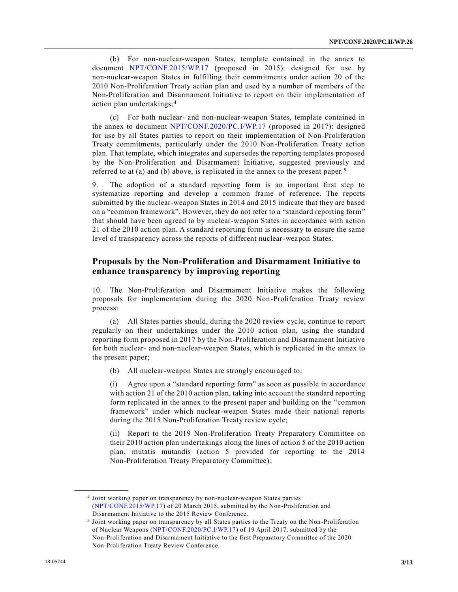(b) For non-nuclear-weapon States, template contained in the annex to document [NPT/CONF.2015/WP.17](https://undocs.org/NPT/CONF.2015/WP.17) (proposed in 2015): designed for use by non-nuclear-weapon States in fulfilling their commitments under action 20 of the 2010 Non-Proliferation Treaty action plan and used by a number of members of the Non-Proliferation and Disarmament Initiative to report on their implementation of action plan undertakings;<sup>4</sup>

(c) For both nuclear- and non-nuclear-weapon States, template contained in the annex to document [NPT/CONF.2020/PC.I/WP.17](https://undocs.org/NPT/CONF.2020/PC.I/WP.17) (proposed in 2017): designed for use by all States parties to report on their implementation of Non-Proliferation Treaty commitments, particularly under the 2010 Non-Proliferation Treaty action plan. That template, which integrates and supersedes the reporting templates proposed by the Non-Proliferation and Disarmament Initiative, suggested previously and referred to at (a) and (b) above, is replicated in the annex to the present paper. <sup>5</sup>

9. The adoption of a standard reporting form is an important first step to systematize reporting and develop a common frame of reference. The reports submitted by the nuclear-weapon States in 2014 and 2015 indicate that they are based on a "common framework". However, they do not refer to a "standard reporting form" that should have been agreed to by nuclear-weapon States in accordance with action 21 of the 2010 action plan. A standard reporting form is necessary to ensure the same level of transparency across the reports of different nuclear-weapon States.

#### **Proposals by the Non-Proliferation and Disarmament Initiative to enhance transparency by improving reporting**

10. The Non-Proliferation and Disarmament Initiative makes the following proposals for implementation during the 2020 Non-Proliferation Treaty review process:

(a) All States parties should, during the 2020 review cycle, continue to report regularly on their undertakings under the 2010 action plan, using the standard reporting form proposed in 2017 by the Non-Proliferation and Disarmament Initiative for both nuclear- and non-nuclear-weapon States, which is replicated in the annex to the present paper;

(b) All nuclear-weapon States are strongly encouraged to:

(i) Agree upon a "standard reporting form" as soon as possible in accordance with action 21 of the 2010 action plan, taking into account the standard reporting form replicated in the annex to the present paper and building on the "common framework" under which nuclear-weapon States made their national reports during the 2015 Non-Proliferation Treaty review cycle;

(ii) Report to the 2019 Non-Proliferation Treaty Preparatory Committee on their 2010 action plan undertakings along the lines of action 5 of the 2010 action plan, mutatis mutandis (action 5 provided for reporting to the 2014 Non-Proliferation Treaty Preparatory Committee);

**\_\_\_\_\_\_\_\_\_\_\_\_\_\_\_\_\_\_**

<sup>4</sup> Joint working paper on transparency by non-nuclear-weapon States parties [\(NPT/CONF.2015/WP.17\)](https://undocs.org/NPT/CONF.2015/WP.17) of 20 March 2015, submitted by the Non-Proliferation and Disarmament Initiative to the 2015 Review Conference.

<sup>5</sup> Joint working paper on transparency by all States parties to the Treaty on the Non-Proliferation of Nuclear Weapons [\(NPT/CONF.2020/PC.I/WP.17\)](https://undocs.org/NPT/CONF.2020/PC.I/WP.17) of 19 April 2017, submitted by the Non-Proliferation and Disarmament Initiative to the first Preparatory Committee of the 2020 Non-Proliferation Treaty Review Conference.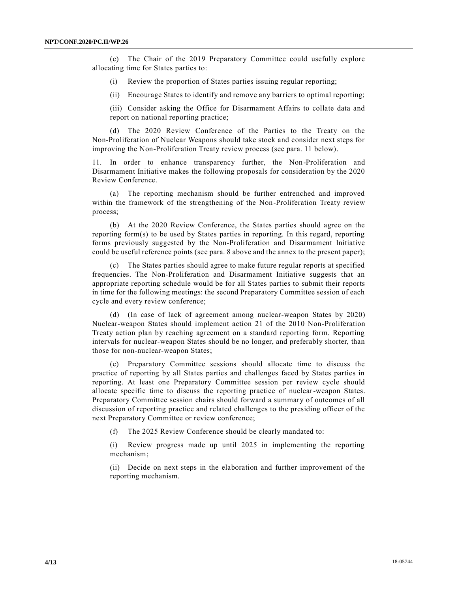(c) The Chair of the 2019 Preparatory Committee could usefully explore allocating time for States parties to:

- (i) Review the proportion of States parties issuing regular reporting;
- (ii) Encourage States to identify and remove any barriers to optimal reporting;

(iii) Consider asking the Office for Disarmament Affairs to collate data and report on national reporting practice;

(d) The 2020 Review Conference of the Parties to the Treaty on the Non-Proliferation of Nuclear Weapons should take stock and consider next steps for improving the Non-Proliferation Treaty review process (see para. 11 below).

11. In order to enhance transparency further, the Non-Proliferation and Disarmament Initiative makes the following proposals for consideration by the 2020 Review Conference.

(a) The reporting mechanism should be further entrenched and improved within the framework of the strengthening of the Non-Proliferation Treaty review process;

(b) At the 2020 Review Conference, the States parties should agree on the reporting form(s) to be used by States parties in reporting. In this regard, reporting forms previously suggested by the Non-Proliferation and Disarmament Initiative could be useful reference points (see para. 8 above and the annex to the present paper);

(c) The States parties should agree to make future regular reports at specified frequencies. The Non-Proliferation and Disarmament Initiative suggests that an appropriate reporting schedule would be for all States parties to submit their reports in time for the following meetings: the second Preparatory Committee session of each cycle and every review conference;

(d) (In case of lack of agreement among nuclear-weapon States by 2020) Nuclear-weapon States should implement action 21 of the 2010 Non-Proliferation Treaty action plan by reaching agreement on a standard reporting form. Reporting intervals for nuclear-weapon States should be no longer, and preferably shorter, than those for non-nuclear-weapon States;

(e) Preparatory Committee sessions should allocate time to discuss the practice of reporting by all States parties and challenges faced by States parties in reporting. At least one Preparatory Committee session per review cycle should allocate specific time to discuss the reporting practice of nuclear-weapon States. Preparatory Committee session chairs should forward a summary of outcomes of all discussion of reporting practice and related challenges to the presiding officer of the next Preparatory Committee or review conference;

(f) The 2025 Review Conference should be clearly mandated to:

(i) Review progress made up until 2025 in implementing the reporting mechanism;

(ii) Decide on next steps in the elaboration and further improvement of the reporting mechanism.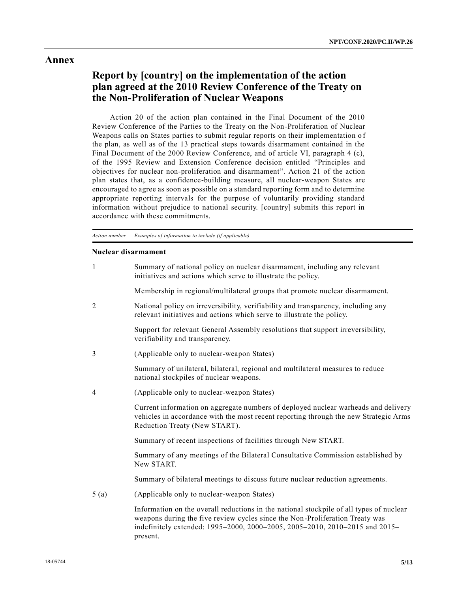#### **Annex**

## **Report by [country] on the implementation of the action plan agreed at the 2010 Review Conference of the Treaty on the Non-Proliferation of Nuclear Weapons**

Action 20 of the action plan contained in the Final Document of the 2010 Review Conference of the Parties to the Treaty on the Non-Proliferation of Nuclear Weapons calls on States parties to submit regular reports on their implementation o f the plan, as well as of the 13 practical steps towards disarmament contained in the Final Document of the 2000 Review Conference, and of article VI, paragraph 4 (c), of the 1995 Review and Extension Conference decision entitled "Principles and objectives for nuclear non-proliferation and disarmament". Action 21 of the action plan states that, as a confidence-building measure, all nuclear-weapon States are encouraged to agree as soon as possible on a standard reporting form and to determine appropriate reporting intervals for the purpose of voluntarily providing standard information without prejudice to national security. [country] submits this report in accordance with these commitments.

*Action number Examples of information to include (if applicable)*

#### **Nuclear disarmament**

| 1    | Summary of national policy on nuclear disarmament, including any relevant<br>initiatives and actions which serve to illustrate the policy.                                                                  |
|------|-------------------------------------------------------------------------------------------------------------------------------------------------------------------------------------------------------------|
|      | Membership in regional/multilateral groups that promote nuclear disarmament.                                                                                                                                |
| 2    | National policy on irreversibility, verifiability and transparency, including any<br>relevant initiatives and actions which serve to illustrate the policy.                                                 |
|      | Support for relevant General Assembly resolutions that support irreversibility,<br>verifiability and transparency.                                                                                          |
| 3    | (Applicable only to nuclear-weapon States)                                                                                                                                                                  |
|      | Summary of unilateral, bilateral, regional and multilateral measures to reduce<br>national stockpiles of nuclear weapons.                                                                                   |
| 4    | (Applicable only to nuclear-weapon States)                                                                                                                                                                  |
|      | Current information on aggregate numbers of deployed nuclear warheads and delivery<br>vehicles in accordance with the most recent reporting through the new Strategic Arms<br>Reduction Treaty (New START). |
|      | Summary of recent inspections of facilities through New START.                                                                                                                                              |
|      | Summary of any meetings of the Bilateral Consultative Commission established by<br>New START.                                                                                                               |
|      | Summary of bilateral meetings to discuss future nuclear reduction agreements.                                                                                                                               |
| 5(a) | (Applicable only to nuclear-weapon States)                                                                                                                                                                  |
|      | Information on the overall reductions in the national stockpile of all types of nuclear                                                                                                                     |

weapons during the five review cycles since the Non-Proliferation Treaty was indefinitely extended: 1995–2000, 2000–2005, 2005–2010, 2010–2015 and 2015– present.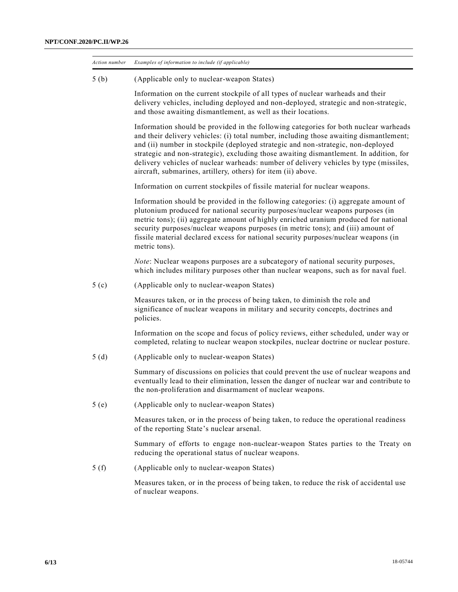| Action number    | Examples of information to include (if applicable)                                                                                                                                                                                                                                                                                                                                                                                                                                                                     |
|------------------|------------------------------------------------------------------------------------------------------------------------------------------------------------------------------------------------------------------------------------------------------------------------------------------------------------------------------------------------------------------------------------------------------------------------------------------------------------------------------------------------------------------------|
| 5(b)             | (Applicable only to nuclear-weapon States)                                                                                                                                                                                                                                                                                                                                                                                                                                                                             |
|                  | Information on the current stockpile of all types of nuclear warheads and their<br>delivery vehicles, including deployed and non-deployed, strategic and non-strategic,<br>and those awaiting dismantlement, as well as their locations.                                                                                                                                                                                                                                                                               |
|                  | Information should be provided in the following categories for both nuclear warheads<br>and their delivery vehicles: (i) total number, including those awaiting dismantlement;<br>and (ii) number in stockpile (deployed strategic and non-strategic, non-deployed<br>strategic and non-strategic), excluding those awaiting dismantlement. In addition, for<br>delivery vehicles of nuclear warheads: number of delivery vehicles by type (missiles,<br>aircraft, submarines, artillery, others) for item (ii) above. |
|                  | Information on current stockpiles of fissile material for nuclear weapons.                                                                                                                                                                                                                                                                                                                                                                                                                                             |
|                  | Information should be provided in the following categories: (i) aggregate amount of<br>plutonium produced for national security purposes/nuclear weapons purposes (in<br>metric tons); (ii) aggregate amount of highly enriched uranium produced for national<br>security purposes/nuclear weapons purposes (in metric tons); and (iii) amount of<br>fissile material declared excess for national security purposes/nuclear weapons (in<br>metric tons).                                                              |
|                  | Note: Nuclear weapons purposes are a subcategory of national security purposes,<br>which includes military purposes other than nuclear weapons, such as for naval fuel.                                                                                                                                                                                                                                                                                                                                                |
| 5 <sub>(c)</sub> | (Applicable only to nuclear-weapon States)                                                                                                                                                                                                                                                                                                                                                                                                                                                                             |
|                  | Measures taken, or in the process of being taken, to diminish the role and<br>significance of nuclear weapons in military and security concepts, doctrines and<br>policies.                                                                                                                                                                                                                                                                                                                                            |
|                  | Information on the scope and focus of policy reviews, either scheduled, under way or<br>completed, relating to nuclear weapon stockpiles, nuclear doctrine or nuclear posture.                                                                                                                                                                                                                                                                                                                                         |
| 5(d)             | (Applicable only to nuclear-weapon States)                                                                                                                                                                                                                                                                                                                                                                                                                                                                             |
|                  | Summary of discussions on policies that could prevent the use of nuclear weapons and<br>eventually lead to their elimination, lessen the danger of nuclear war and contribute to<br>the non-proliferation and disarmament of nuclear weapons.                                                                                                                                                                                                                                                                          |
| 5(e)             | (Applicable only to nuclear-weapon States)                                                                                                                                                                                                                                                                                                                                                                                                                                                                             |
|                  | Measures taken, or in the process of being taken, to reduce the operational readiness<br>of the reporting State's nuclear arsenal.                                                                                                                                                                                                                                                                                                                                                                                     |
|                  | Summary of efforts to engage non-nuclear-weapon States parties to the Treaty on<br>reducing the operational status of nuclear weapons.                                                                                                                                                                                                                                                                                                                                                                                 |
| 5(f)             | (Applicable only to nuclear-weapon States)                                                                                                                                                                                                                                                                                                                                                                                                                                                                             |
|                  | Measures taken, or in the process of being taken, to reduce the risk of accidental use<br>of nuclear weapons.                                                                                                                                                                                                                                                                                                                                                                                                          |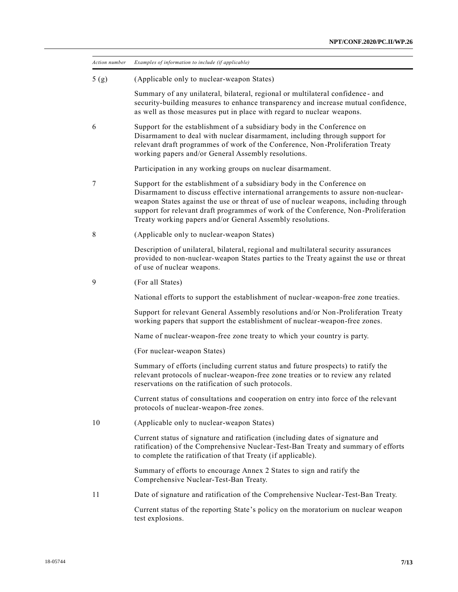| Action number | Examples of information to include (if applicable)                                                                                                                                                                                                                                                                                                                                                        |
|---------------|-----------------------------------------------------------------------------------------------------------------------------------------------------------------------------------------------------------------------------------------------------------------------------------------------------------------------------------------------------------------------------------------------------------|
| 5(g)          | (Applicable only to nuclear-weapon States)                                                                                                                                                                                                                                                                                                                                                                |
|               | Summary of any unilateral, bilateral, regional or multilateral confidence - and<br>security-building measures to enhance transparency and increase mutual confidence,<br>as well as those measures put in place with regard to nuclear weapons.                                                                                                                                                           |
| 6             | Support for the establishment of a subsidiary body in the Conference on<br>Disarmament to deal with nuclear disarmament, including through support for<br>relevant draft programmes of work of the Conference, Non-Proliferation Treaty<br>working papers and/or General Assembly resolutions.                                                                                                            |
|               | Participation in any working groups on nuclear disarmament.                                                                                                                                                                                                                                                                                                                                               |
| 7             | Support for the establishment of a subsidiary body in the Conference on<br>Disarmament to discuss effective international arrangements to assure non-nuclear-<br>weapon States against the use or threat of use of nuclear weapons, including through<br>support for relevant draft programmes of work of the Conference, Non-Proliferation<br>Treaty working papers and/or General Assembly resolutions. |
| 8             | (Applicable only to nuclear-weapon States)                                                                                                                                                                                                                                                                                                                                                                |
|               | Description of unilateral, bilateral, regional and multilateral security assurances<br>provided to non-nuclear-weapon States parties to the Treaty against the use or threat<br>of use of nuclear weapons.                                                                                                                                                                                                |
| 9             | (For all States)                                                                                                                                                                                                                                                                                                                                                                                          |
|               | National efforts to support the establishment of nuclear-weapon-free zone treaties.                                                                                                                                                                                                                                                                                                                       |
|               | Support for relevant General Assembly resolutions and/or Non-Proliferation Treaty<br>working papers that support the establishment of nuclear-weapon-free zones.                                                                                                                                                                                                                                          |
|               | Name of nuclear-weapon-free zone treaty to which your country is party.                                                                                                                                                                                                                                                                                                                                   |
|               | (For nuclear-weapon States)                                                                                                                                                                                                                                                                                                                                                                               |
|               | Summary of efforts (including current status and future prospects) to ratify the<br>relevant protocols of nuclear-weapon-free zone treaties or to review any related<br>reservations on the ratification of such protocols.                                                                                                                                                                               |
|               | Current status of consultations and cooperation on entry into force of the relevant<br>protocols of nuclear-weapon-free zones.                                                                                                                                                                                                                                                                            |
| 10            | (Applicable only to nuclear-weapon States)                                                                                                                                                                                                                                                                                                                                                                |
|               | Current status of signature and ratification (including dates of signature and<br>ratification) of the Comprehensive Nuclear-Test-Ban Treaty and summary of efforts<br>to complete the ratification of that Treaty (if applicable).                                                                                                                                                                       |
|               | Summary of efforts to encourage Annex 2 States to sign and ratify the<br>Comprehensive Nuclear-Test-Ban Treaty.                                                                                                                                                                                                                                                                                           |
| 11            | Date of signature and ratification of the Comprehensive Nuclear-Test-Ban Treaty.                                                                                                                                                                                                                                                                                                                          |
|               | Current status of the reporting State's policy on the moratorium on nuclear weapon<br>test explosions.                                                                                                                                                                                                                                                                                                    |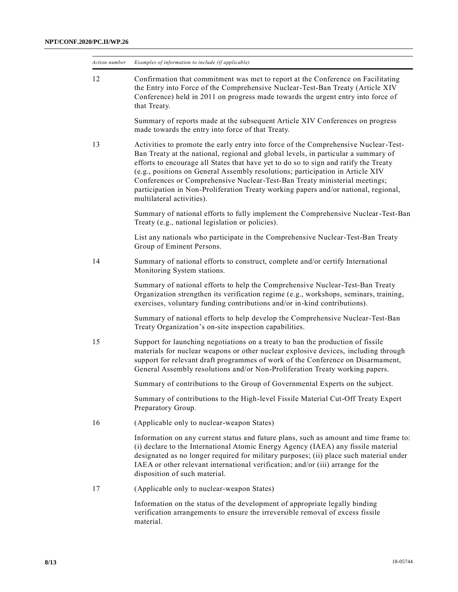| Action number | Examples of information to include (if applicable)                                                                                                                                                                                                                                                                                                                                                                                                                                                                                                    |
|---------------|-------------------------------------------------------------------------------------------------------------------------------------------------------------------------------------------------------------------------------------------------------------------------------------------------------------------------------------------------------------------------------------------------------------------------------------------------------------------------------------------------------------------------------------------------------|
| 12            | Confirmation that commitment was met to report at the Conference on Facilitating<br>the Entry into Force of the Comprehensive Nuclear-Test-Ban Treaty (Article XIV<br>Conference) held in 2011 on progress made towards the urgent entry into force of<br>that Treaty.                                                                                                                                                                                                                                                                                |
|               | Summary of reports made at the subsequent Article XIV Conferences on progress<br>made towards the entry into force of that Treaty.                                                                                                                                                                                                                                                                                                                                                                                                                    |
| 13            | Activities to promote the early entry into force of the Comprehensive Nuclear-Test-<br>Ban Treaty at the national, regional and global levels, in particular a summary of<br>efforts to encourage all States that have yet to do so to sign and ratify the Treaty<br>(e.g., positions on General Assembly resolutions; participation in Article XIV<br>Conferences or Comprehensive Nuclear-Test-Ban Treaty ministerial meetings;<br>participation in Non-Proliferation Treaty working papers and/or national, regional,<br>multilateral activities). |
|               | Summary of national efforts to fully implement the Comprehensive Nuclear-Test-Ban<br>Treaty (e.g., national legislation or policies).                                                                                                                                                                                                                                                                                                                                                                                                                 |
|               | List any nationals who participate in the Comprehensive Nuclear-Test-Ban Treaty<br>Group of Eminent Persons.                                                                                                                                                                                                                                                                                                                                                                                                                                          |
| 14            | Summary of national efforts to construct, complete and/or certify International<br>Monitoring System stations.                                                                                                                                                                                                                                                                                                                                                                                                                                        |
|               | Summary of national efforts to help the Comprehensive Nuclear-Test-Ban Treaty<br>Organization strengthen its verification regime (e.g., workshops, seminars, training,<br>exercises, voluntary funding contributions and/or in-kind contributions).                                                                                                                                                                                                                                                                                                   |
|               | Summary of national efforts to help develop the Comprehensive Nuclear-Test-Ban<br>Treaty Organization's on-site inspection capabilities.                                                                                                                                                                                                                                                                                                                                                                                                              |
| 15            | Support for launching negotiations on a treaty to ban the production of fissile<br>materials for nuclear weapons or other nuclear explosive devices, including through<br>support for relevant draft programmes of work of the Conference on Disarmament,<br>General Assembly resolutions and/or Non-Proliferation Treaty working papers.                                                                                                                                                                                                             |
|               | Summary of contributions to the Group of Governmental Experts on the subject.                                                                                                                                                                                                                                                                                                                                                                                                                                                                         |
|               | Summary of contributions to the High-level Fissile Material Cut-Off Treaty Expert<br>Preparatory Group.                                                                                                                                                                                                                                                                                                                                                                                                                                               |
| 16            | (Applicable only to nuclear-weapon States)                                                                                                                                                                                                                                                                                                                                                                                                                                                                                                            |
|               | Information on any current status and future plans, such as amount and time frame to:<br>(i) declare to the International Atomic Energy Agency (IAEA) any fissile material<br>designated as no longer required for military purposes; (ii) place such material under<br>IAEA or other relevant international verification; and/or (iii) arrange for the<br>disposition of such material.                                                                                                                                                              |
| 17            | (Applicable only to nuclear-weapon States)                                                                                                                                                                                                                                                                                                                                                                                                                                                                                                            |
|               | Information on the status of the development of appropriate legally binding<br>verification arrangements to ensure the irreversible removal of excess fissile<br>material.                                                                                                                                                                                                                                                                                                                                                                            |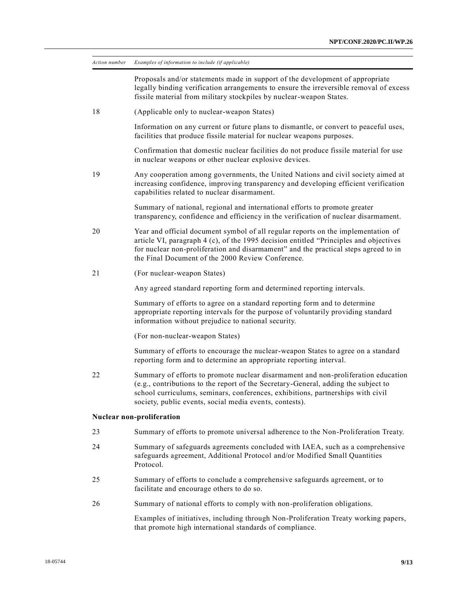| Action number | Examples of information to include (if applicable)                                                                                                                                                                                                                                                                     |
|---------------|------------------------------------------------------------------------------------------------------------------------------------------------------------------------------------------------------------------------------------------------------------------------------------------------------------------------|
|               | Proposals and/or statements made in support of the development of appropriate<br>legally binding verification arrangements to ensure the irreversible removal of excess<br>fissile material from military stockpiles by nuclear-weapon States.                                                                         |
| 18            | (Applicable only to nuclear-weapon States)                                                                                                                                                                                                                                                                             |
|               | Information on any current or future plans to dismantle, or convert to peaceful uses,<br>facilities that produce fissile material for nuclear weapons purposes.                                                                                                                                                        |
|               | Confirmation that domestic nuclear facilities do not produce fissile material for use<br>in nuclear weapons or other nuclear explosive devices.                                                                                                                                                                        |
| 19            | Any cooperation among governments, the United Nations and civil society aimed at<br>increasing confidence, improving transparency and developing efficient verification<br>capabilities related to nuclear disarmament.                                                                                                |
|               | Summary of national, regional and international efforts to promote greater<br>transparency, confidence and efficiency in the verification of nuclear disarmament.                                                                                                                                                      |
| 20            | Year and official document symbol of all regular reports on the implementation of<br>article VI, paragraph 4 (c), of the 1995 decision entitled "Principles and objectives<br>for nuclear non-proliferation and disarmament" and the practical steps agreed to in<br>the Final Document of the 2000 Review Conference. |
| 21            | (For nuclear-weapon States)                                                                                                                                                                                                                                                                                            |
|               | Any agreed standard reporting form and determined reporting intervals.                                                                                                                                                                                                                                                 |
|               | Summary of efforts to agree on a standard reporting form and to determine<br>appropriate reporting intervals for the purpose of voluntarily providing standard<br>information without prejudice to national security.                                                                                                  |
|               | (For non-nuclear-weapon States)                                                                                                                                                                                                                                                                                        |
|               | Summary of efforts to encourage the nuclear-weapon States to agree on a standard<br>reporting form and to determine an appropriate reporting interval.                                                                                                                                                                 |
| 22            | Summary of efforts to promote nuclear disarmament and non-proliferation education<br>(e.g., contributions to the report of the Secretary-General, adding the subject to<br>school curriculums, seminars, conferences, exhibitions, partnerships with civil<br>society, public events, social media events, contests).  |
|               | Nuclear non-proliferation                                                                                                                                                                                                                                                                                              |
| 23            | Summary of efforts to promote universal adherence to the Non-Proliferation Treaty.                                                                                                                                                                                                                                     |
| 24            | Summary of safeguards agreements concluded with IAEA, such as a comprehensive<br>safeguards agreement, Additional Protocol and/or Modified Small Quantities<br>Protocol.                                                                                                                                               |
| 25            | Summary of efforts to conclude a comprehensive safeguards agreement, or to<br>facilitate and encourage others to do so.                                                                                                                                                                                                |
| 26            | Summary of national efforts to comply with non-proliferation obligations.                                                                                                                                                                                                                                              |
|               | Examples of initiatives, including through Non-Proliferation Treaty working papers,<br>that promote high international standards of compliance.                                                                                                                                                                        |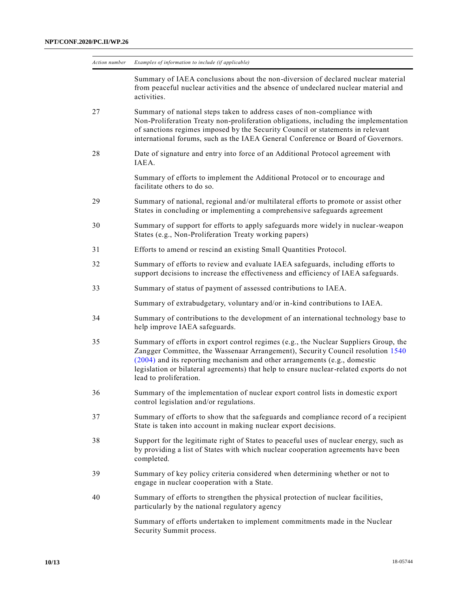| Action number | Examples of information to include (if applicable)                                                                                                                                                                                                                                                                                                                        |
|---------------|---------------------------------------------------------------------------------------------------------------------------------------------------------------------------------------------------------------------------------------------------------------------------------------------------------------------------------------------------------------------------|
|               | Summary of IAEA conclusions about the non-diversion of declared nuclear material<br>from peaceful nuclear activities and the absence of undeclared nuclear material and<br>activities.                                                                                                                                                                                    |
| 27            | Summary of national steps taken to address cases of non-compliance with<br>Non-Proliferation Treaty non-proliferation obligations, including the implementation<br>of sanctions regimes imposed by the Security Council or statements in relevant<br>international forums, such as the IAEA General Conference or Board of Governors.                                     |
| 28            | Date of signature and entry into force of an Additional Protocol agreement with<br>IAEA.                                                                                                                                                                                                                                                                                  |
|               | Summary of efforts to implement the Additional Protocol or to encourage and<br>facilitate others to do so.                                                                                                                                                                                                                                                                |
| 29            | Summary of national, regional and/or multilateral efforts to promote or assist other<br>States in concluding or implementing a comprehensive safeguards agreement                                                                                                                                                                                                         |
| 30            | Summary of support for efforts to apply safeguards more widely in nuclear-weapon<br>States (e.g., Non-Proliferation Treaty working papers)                                                                                                                                                                                                                                |
| 31            | Efforts to amend or rescind an existing Small Quantities Protocol.                                                                                                                                                                                                                                                                                                        |
| 32            | Summary of efforts to review and evaluate IAEA safeguards, including efforts to<br>support decisions to increase the effectiveness and efficiency of IAEA safeguards.                                                                                                                                                                                                     |
| 33            | Summary of status of payment of assessed contributions to IAEA.                                                                                                                                                                                                                                                                                                           |
|               | Summary of extrabudgetary, voluntary and/or in-kind contributions to IAEA.                                                                                                                                                                                                                                                                                                |
| 34            | Summary of contributions to the development of an international technology base to<br>help improve IAEA safeguards.                                                                                                                                                                                                                                                       |
| 35            | Summary of efforts in export control regimes (e.g., the Nuclear Suppliers Group, the<br>Zangger Committee, the Wassenaar Arrangement), Security Council resolution 1540<br>(2004) and its reporting mechanism and other arrangements (e.g., domestic<br>legislation or bilateral agreements) that help to ensure nuclear-related exports do not<br>lead to proliferation. |
| 36            | Summary of the implementation of nuclear export control lists in domestic export<br>control legislation and/or regulations.                                                                                                                                                                                                                                               |
| 37            | Summary of efforts to show that the safeguards and compliance record of a recipient<br>State is taken into account in making nuclear export decisions.                                                                                                                                                                                                                    |
| 38            | Support for the legitimate right of States to peaceful uses of nuclear energy, such as<br>by providing a list of States with which nuclear cooperation agreements have been<br>completed.                                                                                                                                                                                 |
| 39            | Summary of key policy criteria considered when determining whether or not to<br>engage in nuclear cooperation with a State.                                                                                                                                                                                                                                               |
| 40            | Summary of efforts to strengthen the physical protection of nuclear facilities,<br>particularly by the national regulatory agency                                                                                                                                                                                                                                         |
|               | Summary of efforts undertaken to implement commitments made in the Nuclear<br>Security Summit process.                                                                                                                                                                                                                                                                    |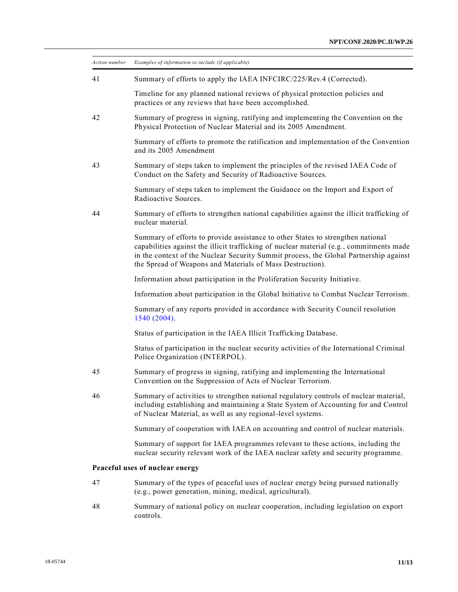| Action number | Examples of information to include (if applicable)                                                                                                                                                                                                                                                                                |
|---------------|-----------------------------------------------------------------------------------------------------------------------------------------------------------------------------------------------------------------------------------------------------------------------------------------------------------------------------------|
| 41            | Summary of efforts to apply the IAEA INFCIRC/225/Rev.4 (Corrected).                                                                                                                                                                                                                                                               |
|               | Timeline for any planned national reviews of physical protection policies and<br>practices or any reviews that have been accomplished.                                                                                                                                                                                            |
| 42            | Summary of progress in signing, ratifying and implementing the Convention on the<br>Physical Protection of Nuclear Material and its 2005 Amendment.                                                                                                                                                                               |
|               | Summary of efforts to promote the ratification and implementation of the Convention<br>and its 2005 Amendment                                                                                                                                                                                                                     |
| 43            | Summary of steps taken to implement the principles of the revised IAEA Code of<br>Conduct on the Safety and Security of Radioactive Sources.                                                                                                                                                                                      |
|               | Summary of steps taken to implement the Guidance on the Import and Export of<br>Radioactive Sources.                                                                                                                                                                                                                              |
| 44            | Summary of efforts to strengthen national capabilities against the illicit trafficking of<br>nuclear material.                                                                                                                                                                                                                    |
|               | Summary of efforts to provide assistance to other States to strengthen national<br>capabilities against the illicit trafficking of nuclear material (e.g., commitments made<br>in the context of the Nuclear Security Summit process, the Global Partnership against<br>the Spread of Weapons and Materials of Mass Destruction). |
|               | Information about participation in the Proliferation Security Initiative.                                                                                                                                                                                                                                                         |
|               | Information about participation in the Global Initiative to Combat Nuclear Terrorism.                                                                                                                                                                                                                                             |
|               | Summary of any reports provided in accordance with Security Council resolution<br>1540 (2004).                                                                                                                                                                                                                                    |
|               | Status of participation in the IAEA Illicit Trafficking Database.                                                                                                                                                                                                                                                                 |
|               | Status of participation in the nuclear security activities of the International Criminal<br>Police Organization (INTERPOL).                                                                                                                                                                                                       |
| 45            | Summary of progress in signing, ratifying and implementing the International<br>Convention on the Suppression of Acts of Nuclear Terrorism.                                                                                                                                                                                       |
| 46            | Summary of activities to strengthen national regulatory controls of nuclear material,<br>including establishing and maintaining a State System of Accounting for and Control<br>of Nuclear Material, as well as any regional-level systems.                                                                                       |
|               | Summary of cooperation with IAEA on accounting and control of nuclear materials.                                                                                                                                                                                                                                                  |
|               | Summary of support for IAEA programmes relevant to these actions, including the<br>nuclear security relevant work of the IAEA nuclear safety and security programme.                                                                                                                                                              |
|               | Peaceful uses of nuclear energy                                                                                                                                                                                                                                                                                                   |
| 47            | Summary of the types of peaceful uses of nuclear energy being pursued nationally<br>(e.g., power generation, mining, medical, agricultural).                                                                                                                                                                                      |
| 48            | Summary of national policy on nuclear cooperation, including legislation on export<br>controls.                                                                                                                                                                                                                                   |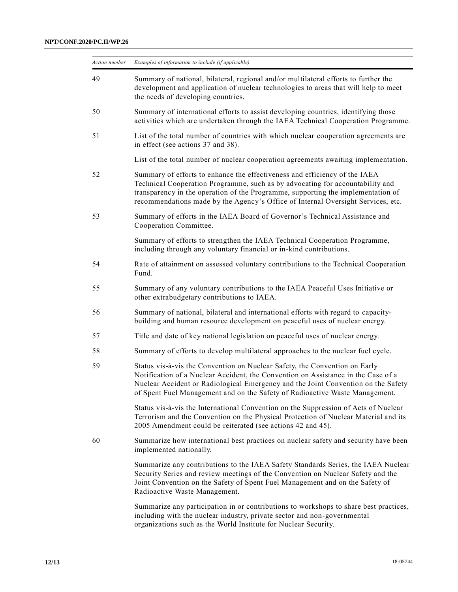| Action number | Examples of information to include (if applicable)                                                                                                                                                                                                                                                                                  |
|---------------|-------------------------------------------------------------------------------------------------------------------------------------------------------------------------------------------------------------------------------------------------------------------------------------------------------------------------------------|
| 49            | Summary of national, bilateral, regional and/or multilateral efforts to further the<br>development and application of nuclear technologies to areas that will help to meet<br>the needs of developing countries.                                                                                                                    |
| 50            | Summary of international efforts to assist developing countries, identifying those<br>activities which are undertaken through the IAEA Technical Cooperation Programme.                                                                                                                                                             |
| 51            | List of the total number of countries with which nuclear cooperation agreements are<br>in effect (see actions 37 and 38).                                                                                                                                                                                                           |
|               | List of the total number of nuclear cooperation agreements awaiting implementation.                                                                                                                                                                                                                                                 |
| 52            | Summary of efforts to enhance the effectiveness and efficiency of the IAEA<br>Technical Cooperation Programme, such as by advocating for accountability and<br>transparency in the operation of the Programme, supporting the implementation of<br>recommendations made by the Agency's Office of Internal Oversight Services, etc. |
| 53            | Summary of efforts in the IAEA Board of Governor's Technical Assistance and<br>Cooperation Committee.                                                                                                                                                                                                                               |
|               | Summary of efforts to strengthen the IAEA Technical Cooperation Programme,<br>including through any voluntary financial or in-kind contributions.                                                                                                                                                                                   |
| 54            | Rate of attainment on assessed voluntary contributions to the Technical Cooperation<br>Fund.                                                                                                                                                                                                                                        |
| 55            | Summary of any voluntary contributions to the IAEA Peaceful Uses Initiative or<br>other extrabudgetary contributions to IAEA.                                                                                                                                                                                                       |
| 56            | Summary of national, bilateral and international efforts with regard to capacity-<br>building and human resource development on peaceful uses of nuclear energy.                                                                                                                                                                    |
| 57            | Title and date of key national legislation on peaceful uses of nuclear energy.                                                                                                                                                                                                                                                      |
| 58            | Summary of efforts to develop multilateral approaches to the nuclear fuel cycle.                                                                                                                                                                                                                                                    |
| 59            | Status vis-à-vis the Convention on Nuclear Safety, the Convention on Early<br>Notification of a Nuclear Accident, the Convention on Assistance in the Case of a<br>Nuclear Accident or Radiological Emergency and the Joint Convention on the Safety<br>of Spent Fuel Management and on the Safety of Radioactive Waste Management. |
|               | Status vis-à-vis the International Convention on the Suppression of Acts of Nuclear<br>Terrorism and the Convention on the Physical Protection of Nuclear Material and its<br>2005 Amendment could be reiterated (see actions 42 and 45).                                                                                           |
| 60            | Summarize how international best practices on nuclear safety and security have been<br>implemented nationally.                                                                                                                                                                                                                      |
|               | Summarize any contributions to the IAEA Safety Standards Series, the IAEA Nuclear<br>Security Series and review meetings of the Convention on Nuclear Safety and the<br>Joint Convention on the Safety of Spent Fuel Management and on the Safety of<br>Radioactive Waste Management.                                               |
|               | Summarize any participation in or contributions to workshops to share best practices,<br>including with the nuclear industry, private sector and non-governmental<br>organizations such as the World Institute for Nuclear Security.                                                                                                |